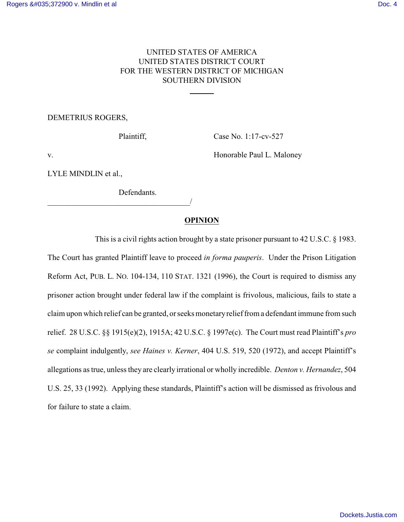# UNITED STATES OF AMERICA UNITED STATES DISTRICT COURT FOR THE WESTERN DISTRICT OF MICHIGAN SOUTHERN DIVISION

l

## DEMETRIUS ROGERS,

Plaintiff, Case No. 1:17-cv-527

v. Honorable Paul L. Maloney

LYLE MINDLIN et al.,

Defendants.

\_\_\_\_\_\_\_\_\_\_\_\_\_\_\_\_\_\_\_\_\_\_\_\_\_\_\_\_\_\_\_\_\_\_\_\_/

# **OPINION**

This is a civil rights action brought by a state prisoner pursuant to 42 U.S.C. § 1983. The Court has granted Plaintiff leave to proceed *in forma pauperis*. Under the Prison Litigation Reform Act, PUB. L. NO. 104-134, 110 STAT. 1321 (1996), the Court is required to dismiss any prisoner action brought under federal law if the complaint is frivolous, malicious, fails to state a claim upon which relief can be granted, or seeks monetaryrelief from a defendant immune from such relief. 28 U.S.C. §§ 1915(e)(2), 1915A; 42 U.S.C. § 1997e(c). The Court must read Plaintiff's *pro se* complaint indulgently, *see Haines v. Kerner*, 404 U.S. 519, 520 (1972), and accept Plaintiff's allegations as true, unless they are clearly irrational or wholly incredible. *Denton v. Hernandez*, 504 U.S. 25, 33 (1992). Applying these standards, Plaintiff's action will be dismissed as frivolous and for failure to state a claim.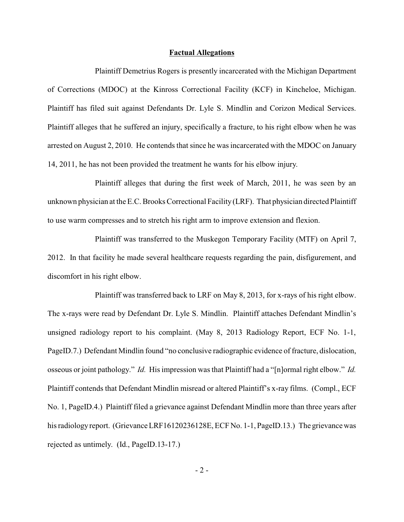### **Factual Allegations**

Plaintiff Demetrius Rogers is presently incarcerated with the Michigan Department of Corrections (MDOC) at the Kinross Correctional Facility (KCF) in Kincheloe, Michigan. Plaintiff has filed suit against Defendants Dr. Lyle S. Mindlin and Corizon Medical Services. Plaintiff alleges that he suffered an injury, specifically a fracture, to his right elbow when he was arrested on August 2, 2010. He contends that since he was incarcerated with the MDOC on January 14, 2011, he has not been provided the treatment he wants for his elbow injury.

Plaintiff alleges that during the first week of March, 2011, he was seen by an unknown physician at the E.C. Brooks Correctional Facility (LRF). That physician directed Plaintiff to use warm compresses and to stretch his right arm to improve extension and flexion.

Plaintiff was transferred to the Muskegon Temporary Facility (MTF) on April 7, 2012. In that facility he made several healthcare requests regarding the pain, disfigurement, and discomfort in his right elbow.

Plaintiff was transferred back to LRF on May 8, 2013, for x-rays of his right elbow. The x-rays were read by Defendant Dr. Lyle S. Mindlin. Plaintiff attaches Defendant Mindlin's unsigned radiology report to his complaint. (May 8, 2013 Radiology Report, ECF No. 1-1, PageID.7.) Defendant Mindlin found "no conclusive radiographic evidence of fracture, dislocation, osseous or joint pathology." *Id.* His impression was that Plaintiff had a "[n]ormal right elbow." *Id.*  Plaintiff contends that Defendant Mindlin misread or altered Plaintiff's x-ray films. (Compl., ECF No. 1, PageID.4.) Plaintiff filed a grievance against Defendant Mindlin more than three years after his radiology report. (Grievance LRF16120236128E, ECF No. 1-1, PageID.13.) The grievance was rejected as untimely. (Id., PageID.13-17.)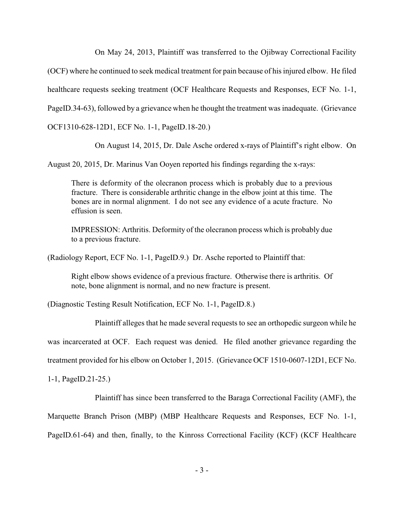On May 24, 2013, Plaintiff was transferred to the Ojibway Correctional Facility

(OCF) where he continued to seek medical treatment for pain because of his injured elbow. He filed

healthcare requests seeking treatment (OCF Healthcare Requests and Responses, ECF No. 1-1,

PageID.34-63), followed by a grievance when he thought the treatment was inadequate. (Grievance

OCF1310-628-12D1, ECF No. 1-1, PageID.18-20.)

On August 14, 2015, Dr. Dale Asche ordered x-rays of Plaintiff's right elbow. On

August 20, 2015, Dr. Marinus Van Ooyen reported his findings regarding the x-rays:

There is deformity of the olecranon process which is probably due to a previous fracture. There is considerable arthritic change in the elbow joint at this time. The bones are in normal alignment. I do not see any evidence of a acute fracture. No effusion is seen.

IMPRESSION: Arthritis. Deformity of the olecranon process which is probably due to a previous fracture.

(Radiology Report, ECF No. 1-1, PageID.9.) Dr. Asche reported to Plaintiff that:

Right elbow shows evidence of a previous fracture. Otherwise there is arthritis. Of note, bone alignment is normal, and no new fracture is present.

(Diagnostic Testing Result Notification, ECF No. 1-1, PageID.8.)

Plaintiff alleges that he made several requests to see an orthopedic surgeon while he

was incarcerated at OCF. Each request was denied. He filed another grievance regarding the

treatment provided for his elbow on October 1, 2015. (Grievance OCF 1510-0607-12D1, ECF No.

1-1, PageID.21-25.)

Plaintiff has since been transferred to the Baraga Correctional Facility (AMF), the

Marquette Branch Prison (MBP) (MBP Healthcare Requests and Responses, ECF No. 1-1,

PageID.61-64) and then, finally, to the Kinross Correctional Facility (KCF) (KCF Healthcare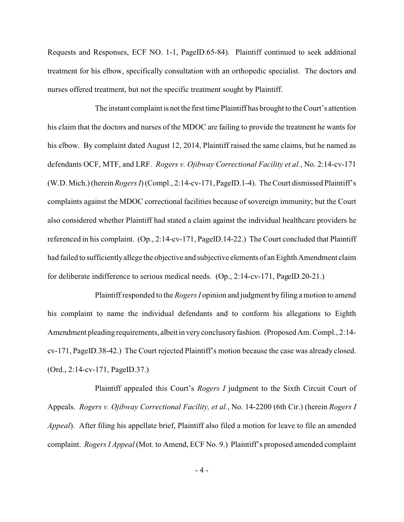Requests and Responses, ECF NO. 1-1, PageID.65-84). Plaintiff continued to seek additional treatment for his elbow, specifically consultation with an orthopedic specialist. The doctors and nurses offered treatment, but not the specific treatment sought by Plaintiff.

The instant complaint is not the first time Plaintiff has brought to the Court's attention his claim that the doctors and nurses of the MDOC are failing to provide the treatment he wants for his elbow. By complaint dated August 12, 2014, Plaintiff raised the same claims, but he named as defendants OCF, MTF, and LRF. *Rogers v. Ojibway Correctional Facility et al.*, No. 2:14-cv-171 (W.D. Mich.) (herein *Rogers I*) (Compl., 2:14-cv-171, PageID.1-4). The Court dismissed Plaintiff's complaints against the MDOC correctional facilities because of sovereign immunity; but the Court also considered whether Plaintiff had stated a claim against the individual healthcare providers he referenced in his complaint. (Op., 2:14-cv-171, PageID.14-22.) The Court concluded that Plaintiff had failed to sufficientlyallege the objective and subjective elements of an Eighth Amendment claim for deliberate indifference to serious medical needs. (Op., 2:14-cv-171, PageID.20-21.)

Plaintiff responded to the *Rogers I* opinion and judgment byfiling a motion to amend his complaint to name the individual defendants and to conform his allegations to Eighth Amendment pleading requirements, albeit in very conclusory fashion. (Proposed Am. Compl., 2:14cv-171, PageID.38-42.) The Court rejected Plaintiff's motion because the case was already closed. (Ord., 2:14-cv-171, PageID.37.)

Plaintiff appealed this Court's *Rogers I* judgment to the Sixth Circuit Court of Appeals. *Rogers v. Ojibway Correctional Facility, et al.*, No. 14-2200 (6th Cir.) (herein *Rogers I Appeal*). After filing his appellate brief, Plaintiff also filed a motion for leave to file an amended complaint. *Rogers I Appeal* (Mot. to Amend, ECF No. 9.) Plaintiff's proposed amended complaint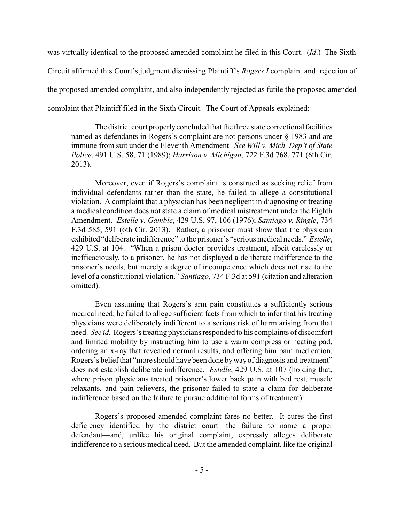was virtually identical to the proposed amended complaint he filed in this Court. (*Id*.) The Sixth Circuit affirmed this Court's judgment dismissing Plaintiff's *Rogers I* complaint and rejection of the proposed amended complaint, and also independently rejected as futile the proposed amended complaint that Plaintiff filed in the Sixth Circuit. The Court of Appeals explained:

The district court properlyconcluded that the three state correctional facilities named as defendants in Rogers's complaint are not persons under § 1983 and are immune from suit under the Eleventh Amendment. *See Will v. Mich. Dep't of State Police*, 491 U.S. 58, 71 (1989); *Harrison v. Michigan*, 722 F.3d 768, 771 (6th Cir. 2013).

Moreover, even if Rogers's complaint is construed as seeking relief from individual defendants rather than the state, he failed to allege a constitutional violation. A complaint that a physician has been negligent in diagnosing or treating a medical condition does not state a claim of medical mistreatment under the Eighth Amendment. *Estelle v. Gamble*, 429 U.S. 97, 106 (1976); *Santiago v. Ringle*, 734 F.3d 585, 591 (6th Cir. 2013). Rather, a prisoner must show that the physician exhibited "deliberate indifference" to the prisoner's "serious medical needs." *Estelle*, 429 U.S. at 104. "When a prison doctor provides treatment, albeit carelessly or inefficaciously, to a prisoner, he has not displayed a deliberate indifference to the prisoner's needs, but merely a degree of incompetence which does not rise to the level of a constitutional violation." *Santiago*, 734 F.3d at 591 (citation and alteration omitted).

Even assuming that Rogers's arm pain constitutes a sufficiently serious medical need, he failed to allege sufficient facts from which to infer that his treating physicians were deliberately indifferent to a serious risk of harm arising from that need. *See id.* Rogers's treating physicians responded to his complaints of discomfort and limited mobility by instructing him to use a warm compress or heating pad, ordering an x-ray that revealed normal results, and offering him pain medication. Rogers's belief that "more should have been done bywayof diagnosis and treatment" does not establish deliberate indifference. *Estelle*, 429 U.S. at 107 (holding that, where prison physicians treated prisoner's lower back pain with bed rest, muscle relaxants, and pain relievers, the prisoner failed to state a claim for deliberate indifference based on the failure to pursue additional forms of treatment).

Rogers's proposed amended complaint fares no better. It cures the first deficiency identified by the district court—the failure to name a proper defendant—and, unlike his original complaint, expressly alleges deliberate indifference to a serious medical need. But the amended complaint, like the original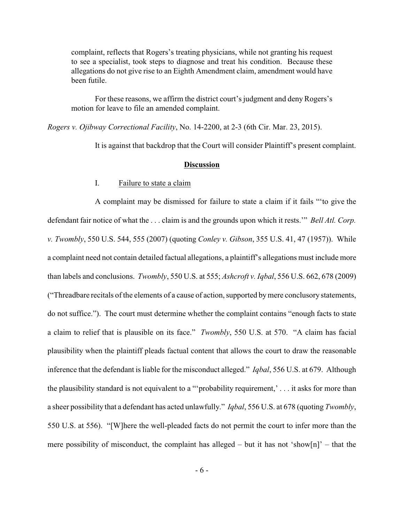complaint, reflects that Rogers's treating physicians, while not granting his request to see a specialist, took steps to diagnose and treat his condition. Because these allegations do not give rise to an Eighth Amendment claim, amendment would have been futile.

For these reasons, we affirm the district court's judgment and deny Rogers's motion for leave to file an amended complaint.

*Rogers v. Ojibway Correctional Facility*, No. 14-2200, at 2-3 (6th Cir. Mar. 23, 2015).

It is against that backdrop that the Court will consider Plaintiff's present complaint.

### **Discussion**

I. Failure to state a claim

A complaint may be dismissed for failure to state a claim if it fails "'to give the defendant fair notice of what the . . . claim is and the grounds upon which it rests.'" *Bell Atl. Corp. v. Twombly*, 550 U.S. 544, 555 (2007) (quoting *Conley v. Gibson*, 355 U.S. 41, 47 (1957)). While a complaint need not contain detailed factual allegations, a plaintiff's allegations must include more than labels and conclusions. *Twombly*, 550 U.S. at 555; *Ashcroft v. Iqbal*, 556 U.S. 662, 678 (2009) ("Threadbare recitals of the elements of a cause of action, supported bymere conclusory statements, do not suffice."). The court must determine whether the complaint contains "enough facts to state a claim to relief that is plausible on its face." *Twombly*, 550 U.S. at 570. "A claim has facial plausibility when the plaintiff pleads factual content that allows the court to draw the reasonable inference that the defendant is liable for the misconduct alleged." *Iqbal*, 556 U.S. at 679. Although the plausibility standard is not equivalent to a "'probability requirement,' . . . it asks for more than a sheer possibility that a defendant has acted unlawfully." *Iqbal*, 556 U.S. at 678 (quoting *Twombly*, 550 U.S. at 556). "[W]here the well-pleaded facts do not permit the court to infer more than the mere possibility of misconduct, the complaint has alleged – but it has not 'show[n]' – that the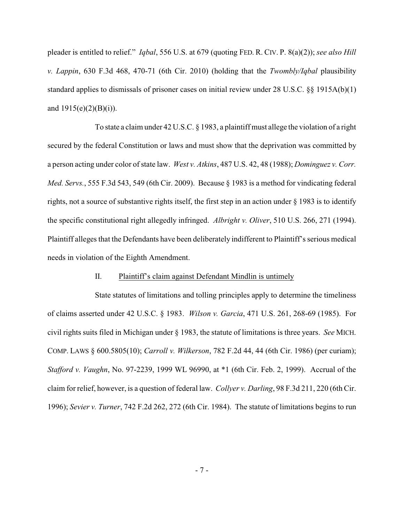pleader is entitled to relief." *Iqbal*, 556 U.S. at 679 (quoting FED. R. CIV. P. 8(a)(2)); *see also Hill v. Lappin*, 630 F.3d 468, 470-71 (6th Cir. 2010) (holding that the *Twombly/Iqbal* plausibility standard applies to dismissals of prisoner cases on initial review under 28 U.S.C. §§ 1915A(b)(1) and 1915(e)(2)(B)(i)).

To state a claim under 42 U.S.C. § 1983, a plaintiff must allege the violation of a right secured by the federal Constitution or laws and must show that the deprivation was committed by a person acting under color of state law. *West v. Atkins*, 487 U.S. 42, 48 (1988); *Dominguez v. Corr. Med. Servs.*, 555 F.3d 543, 549 (6th Cir. 2009). Because § 1983 is a method for vindicating federal rights, not a source of substantive rights itself, the first step in an action under § 1983 is to identify the specific constitutional right allegedly infringed. *Albright v. Oliver*, 510 U.S. 266, 271 (1994). Plaintiff alleges that the Defendants have been deliberately indifferent to Plaintiff's serious medical needs in violation of the Eighth Amendment.

### II. Plaintiff's claim against Defendant Mindlin is untimely

State statutes of limitations and tolling principles apply to determine the timeliness of claims asserted under 42 U.S.C. § 1983. *Wilson v. Garcia*, 471 U.S. 261, 268-69 (1985). For civil rights suits filed in Michigan under § 1983, the statute of limitations is three years. *See* MICH. COMP. LAWS § 600.5805(10); *Carroll v. Wilkerson*, 782 F.2d 44, 44 (6th Cir. 1986) (per curiam); *Stafford v. Vaughn*, No. 97-2239, 1999 WL 96990, at \*1 (6th Cir. Feb. 2, 1999). Accrual of the claim for relief, however, is a question of federal law. *Collyer v. Darling*, 98 F.3d 211, 220 (6th Cir. 1996); *Sevier v. Turner*, 742 F.2d 262, 272 (6th Cir. 1984). The statute of limitations begins to run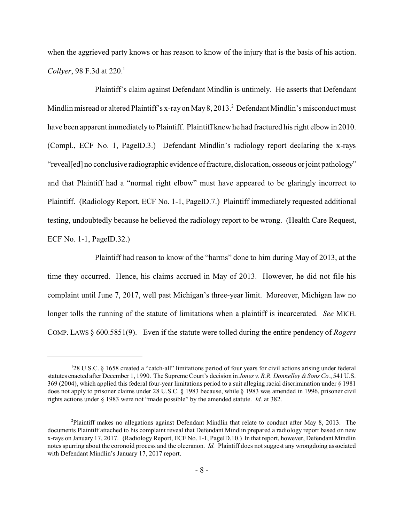when the aggrieved party knows or has reason to know of the injury that is the basis of his action. *Collyer*, 98 F.3d at 220.<sup>1</sup>

Plaintiff's claim against Defendant Mindlin is untimely. He asserts that Defendant Mindlin misread or altered Plaintiff's x-ray on May 8, 2013.<sup>2</sup> Defendant Mindlin's misconduct must have been apparent immediately to Plaintiff. Plaintiff knew he had fractured his right elbow in 2010. (Compl., ECF No. 1, PageID.3.) Defendant Mindlin's radiology report declaring the x-rays "reveal[ed] no conclusive radiographic evidence of fracture, dislocation, osseous or joint pathology" and that Plaintiff had a "normal right elbow" must have appeared to be glaringly incorrect to Plaintiff. (Radiology Report, ECF No. 1-1, PageID.7.) Plaintiff immediately requested additional testing, undoubtedly because he believed the radiology report to be wrong. (Health Care Request, ECF No. 1-1, PageID.32.)

Plaintiff had reason to know of the "harms" done to him during May of 2013, at the time they occurred. Hence, his claims accrued in May of 2013. However, he did not file his complaint until June 7, 2017, well past Michigan's three-year limit. Moreover, Michigan law no longer tolls the running of the statute of limitations when a plaintiff is incarcerated. *See* MICH. COMP. LAWS § 600.5851(9). Even if the statute were tolled during the entire pendency of *Rogers*

<sup>&</sup>lt;sup>1</sup>28 U.S.C. § 1658 created a "catch-all" limitations period of four years for civil actions arising under federal statutes enacted after December 1, 1990. The Supreme Court's decision in *Jones v. R.R. Donnelley &Sons Co.*, 541 U.S. 369 (2004), which applied this federal four-year limitations period to a suit alleging racial discrimination under § 1981 does not apply to prisoner claims under 28 U.S.C. § 1983 because, while § 1983 was amended in 1996, prisoner civil rights actions under § 1983 were not "made possible" by the amended statute. *Id.* at 382.

<sup>2</sup>Plaintiff makes no allegations against Defendant Mindlin that relate to conduct after May 8, 2013. The documents Plaintiff attached to his complaint reveal that Defendant Mindlin prepared a radiology report based on new x-rays on January 17, 2017. (Radiology Report, ECF No. 1-1, PageID.10.) In that report, however, Defendant Mindlin notes spurring about the coronoid process and the olecranon. *Id.* Plaintiff does not suggest any wrongdoing associated with Defendant Mindlin's January 17, 2017 report.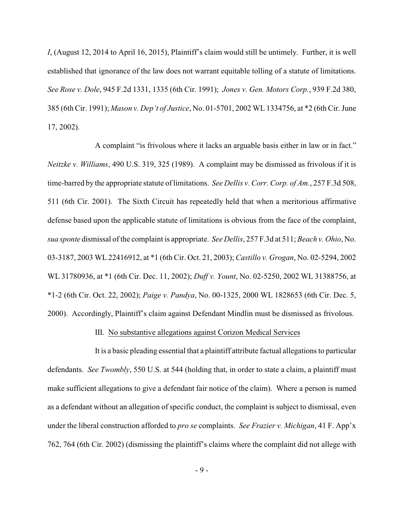*I*, (August 12, 2014 to April 16, 2015), Plaintiff's claim would still be untimely. Further, it is well established that ignorance of the law does not warrant equitable tolling of a statute of limitations. *See Rose v. Dole*, 945 F.2d 1331, 1335 (6th Cir. 1991); *Jones v. Gen. Motors Corp.*, 939 F.2d 380, 385 (6th Cir. 1991); *Mason v. Dep't of Justice*, No. 01-5701, 2002 WL 1334756, at \*2 (6th Cir. June 17, 2002).

A complaint "is frivolous where it lacks an arguable basis either in law or in fact." *Neitzke v. Williams*, 490 U.S. 319, 325 (1989). A complaint may be dismissed as frivolous if it is time-barred by the appropriate statute of limitations. *See Dellis v. Corr. Corp. of Am.*, 257 F.3d 508, 511 (6th Cir. 2001). The Sixth Circuit has repeatedly held that when a meritorious affirmative defense based upon the applicable statute of limitations is obvious from the face of the complaint, *sua sponte* dismissal of the complaint is appropriate. *See Dellis*, 257 F.3d at 511; *Beach v. Ohio*, No. 03-3187, 2003 WL 22416912, at \*1 (6th Cir. Oct. 21, 2003); *Castillo v. Grogan*, No. 02-5294, 2002 WL 31780936, at \*1 (6th Cir. Dec. 11, 2002); *Duff v. Yount*, No. 02-5250, 2002 WL 31388756, at \*1-2 (6th Cir. Oct. 22, 2002); *Paige v. Pandya*, No. 00-1325, 2000 WL 1828653 (6th Cir. Dec. 5, 2000). Accordingly, Plaintiff's claim against Defendant Mindlin must be dismissed as frivolous.

### III. No substantive allegations against Corizon Medical Services

It is a basic pleading essential that a plaintiff attribute factual allegations to particular defendants. *See Twombly*, 550 U.S. at 544 (holding that, in order to state a claim, a plaintiff must make sufficient allegations to give a defendant fair notice of the claim). Where a person is named as a defendant without an allegation of specific conduct, the complaint is subject to dismissal, even under the liberal construction afforded to *pro se* complaints. *See Frazier v. Michigan*, 41 F. App'x 762, 764 (6th Cir. 2002) (dismissing the plaintiff's claims where the complaint did not allege with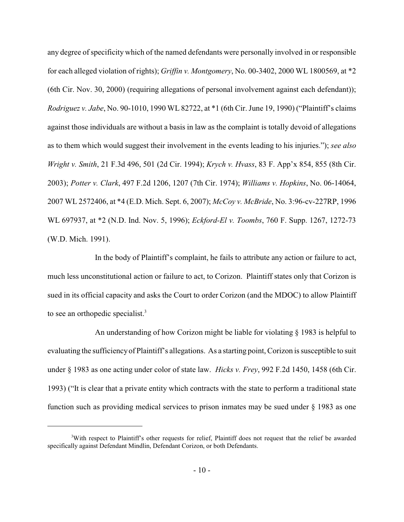any degree of specificity which of the named defendants were personally involved in or responsible for each alleged violation of rights); *Griffin v. Montgomery*, No. 00-3402, 2000 WL 1800569, at \*2 (6th Cir. Nov. 30, 2000) (requiring allegations of personal involvement against each defendant)); *Rodriguez v. Jabe*, No. 90-1010, 1990 WL 82722, at \*1 (6th Cir. June 19, 1990) ("Plaintiff's claims against those individuals are without a basis in law as the complaint is totally devoid of allegations as to them which would suggest their involvement in the events leading to his injuries."); *see also Wright v. Smith*, 21 F.3d 496, 501 (2d Cir. 1994); *Krych v. Hvass*, 83 F. App'x 854, 855 (8th Cir. 2003); *Potter v. Clark*, 497 F.2d 1206, 1207 (7th Cir. 1974); *Williams v. Hopkins*, No. 06-14064, 2007 WL 2572406, at \*4 (E.D. Mich. Sept. 6, 2007); *McCoy v. McBride*, No. 3:96-cv-227RP, 1996 WL 697937, at \*2 (N.D. Ind. Nov. 5, 1996); *Eckford-El v. Toombs*, 760 F. Supp. 1267, 1272-73 (W.D. Mich. 1991).

In the body of Plaintiff's complaint, he fails to attribute any action or failure to act, much less unconstitutional action or failure to act, to Corizon. Plaintiff states only that Corizon is sued in its official capacity and asks the Court to order Corizon (and the MDOC) to allow Plaintiff to see an orthopedic specialist.<sup>3</sup>

An understanding of how Corizon might be liable for violating § 1983 is helpful to evaluating the sufficiencyof Plaintiff's allegations. As a starting point, Corizon is susceptible to suit under § 1983 as one acting under color of state law. *Hicks v. Frey*, 992 F.2d 1450, 1458 (6th Cir. 1993) ("It is clear that a private entity which contracts with the state to perform a traditional state function such as providing medical services to prison inmates may be sued under § 1983 as one

<sup>3</sup>With respect to Plaintiff's other requests for relief, Plaintiff does not request that the relief be awarded specifically against Defendant Mindlin, Defendant Corizon, or both Defendants.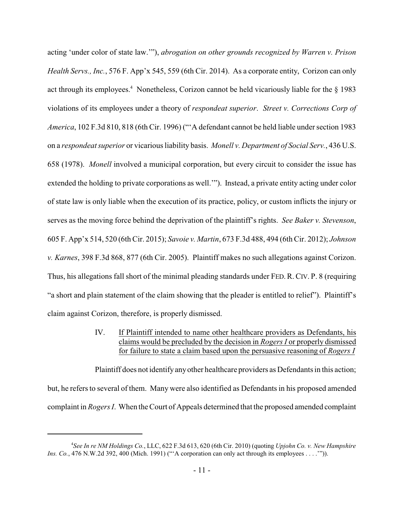acting 'under color of state law.'"), *abrogation on other grounds recognized by Warren v. Prison Health Servs., Inc.*, 576 F. App'x 545, 559 (6th Cir. 2014). As a corporate entity, Corizon can only act through its employees.<sup>4</sup> Nonetheless, Corizon cannot be held vicariously liable for the § 1983 violations of its employees under a theory of *respondeat superior*. *Street v. Corrections Corp of America*, 102 F.3d 810, 818 (6th Cir. 1996) ("'A defendant cannot be held liable under section 1983 on a *respondeat superior* or vicarious liability basis. *Monell v. Department of Social Serv.*, 436 U.S. 658 (1978). *Monell* involved a municipal corporation, but every circuit to consider the issue has extended the holding to private corporations as well.'"). Instead, a private entity acting under color of state law is only liable when the execution of its practice, policy, or custom inflicts the injury or serves as the moving force behind the deprivation of the plaintiff's rights. *See Baker v. Stevenson*, 605 F. App'x 514, 520 (6th Cir. 2015); *Savoie v. Martin*, 673 F.3d 488, 494 (6th Cir. 2012); *Johnson v. Karnes*, 398 F.3d 868, 877 (6th Cir. 2005). Plaintiff makes no such allegations against Corizon. Thus, his allegations fall short of the minimal pleading standards under FED.R. CIV. P. 8 (requiring "a short and plain statement of the claim showing that the pleader is entitled to relief"). Plaintiff's claim against Corizon, therefore, is properly dismissed.

> IV. If Plaintiff intended to name other healthcare providers as Defendants, his claims would be precluded by the decision in *Rogers I* or properly dismissed for failure to state a claim based upon the persuasive reasoning of *Rogers I*

Plaintiff does not identifyanyother healthcare providers as Defendants in this action; but, he refers to several of them. Many were also identified as Defendants in his proposed amended complaint in *Rogers I*. When the Court of Appeals determined that the proposed amended complaint

<sup>4</sup> *See In re NM Holdings Co.*, LLC, 622 F.3d 613, 620 (6th Cir. 2010) (quoting *Upjohn Co. v. New Hampshire Ins. Co.*, 476 N.W.2d 392, 400 (Mich. 1991) ("'A corporation can only act through its employees . . . .'")).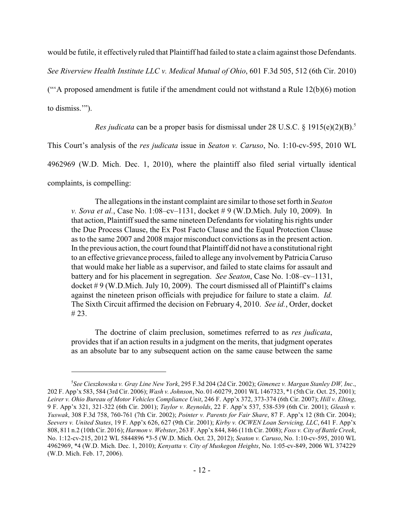would be futile, it effectively ruled that Plaintiff had failed to state a claim against those Defendants.

*See Riverview Health Institute LLC v. Medical Mutual of Ohio*, 601 F.3d 505, 512 (6th Cir. 2010)

("A proposed amendment is futile if the amendment could not withstand a Rule  $12(b)(6)$  motion to dismiss.'").

*Res judicata* can be a proper basis for dismissal under 28 U.S.C. § 1915(e)(2)(B). 5

This Court's analysis of the *res judicata* issue in *Seaton v. Caruso*, No. 1:10-cv-595, 2010 WL

4962969 (W.D. Mich. Dec. 1, 2010), where the plaintiff also filed serial virtually identical

complaints, is compelling:

The allegations in the instant complaint are similar to those set forth in *Seaton v. Sova et al.*, Case No. 1:08–cv–1131, docket # 9 (W.D.Mich. July 10, 2009). In that action, Plaintiff sued the same nineteen Defendants for violating his rights under the Due Process Clause, the Ex Post Facto Clause and the Equal Protection Clause as to the same 2007 and 2008 major misconduct convictions as in the present action. In the previous action, the court found that Plaintiff did not have a constitutional right to an effective grievance process, failed to allege any involvement byPatricia Caruso that would make her liable as a supervisor, and failed to state claims for assault and battery and for his placement in segregation. *See Seaton*, Case No. 1:08–cv–1131, docket # 9 (W.D.Mich. July 10, 2009). The court dismissed all of Plaintiff's claims against the nineteen prison officials with prejudice for failure to state a claim. *Id.*  The Sixth Circuit affirmed the decision on February 4, 2010. *See id.*, Order, docket # 23.

The doctrine of claim preclusion, sometimes referred to as *res judicata*, provides that if an action results in a judgment on the merits, that judgment operates as an absolute bar to any subsequent action on the same cause between the same

<sup>5</sup> *See Cieszkowska v. Gray Line New York*, 295 F.3d 204 (2d Cir. 2002); *Gimenez v. Margan Stanley DW, Inc*., 202 F. App'x 583, 584 (3rd Cir. 2006); *Wash v. Johnson*, No. 01-60279, 2001 WL 1467323, \*1 (5thCir. Oct. 25, 2001); *Leirer v. Ohio Bureau of Motor Vehicles Compliance Unit*, 246 F. App'x 372, 373-374 (6th Cir. 2007); *Hill v. Elting*, 9 F. App'x 321, 321-322 (6th Cir. 2001); *Taylor v. Reynolds*, 22 F. App'x 537, 538-539 (6th Cir. 2001); *Gleash v. Yuswak*, 308 F.3d 758, 760-761 (7th Cir. 2002); *Pointer v. Parents for Fair Share*, 87 F. App'x 12 (8th Cir. 2004); *Seevers v. United States*, 19 F. App'x 626, 627 (9th Cir. 2001); *Kirby v. OCWEN Loan Servicing, LLC*, 641 F. App'x 808, 811 n.2 (10th Cir. 2016); *Harmon v. Webster*, 263 F. App'x 844, 846 (11th Cir. 2008); *Foss v. City of Battle Creek*, No. 1:12-cv-215, 2012 WL 5844896 \*3-5 (W.D. Mich. Oct. 23, 2012); *Seaton v. Caruso*, No. 1:10-cv-595, 2010 WL 4962969, \*4 (W.D. Mich. Dec. 1, 2010); *Kenyatta v. City of Muskegon Heights*, No. 1:05-cv-849, 2006 WL 374229 (W.D. Mich. Feb. 17, 2006).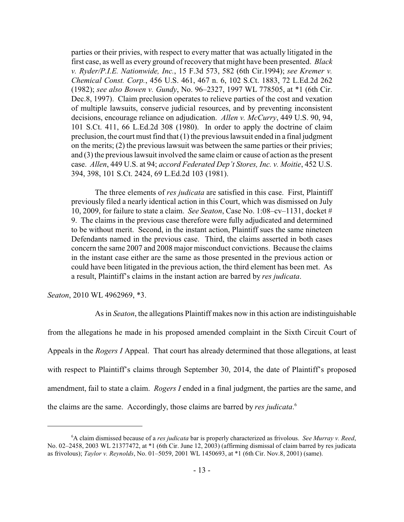parties or their privies, with respect to every matter that was actually litigated in the first case, as well as every ground of recovery that might have been presented. *Black v. Ryder/P.I.E. Nationwide, Inc.*, 15 F.3d 573, 582 (6th Cir.1994); *see Kremer v. Chemical Const. Corp.*, 456 U.S. 461, 467 n. 6, 102 S.Ct. 1883, 72 L.Ed.2d 262 (1982); *see also Bowen v. Gundy*, No. 96–2327, 1997 WL 778505, at \*1 (6th Cir. Dec.8, 1997). Claim preclusion operates to relieve parties of the cost and vexation of multiple lawsuits, conserve judicial resources, and by preventing inconsistent decisions, encourage reliance on adjudication. *Allen v. McCurry*, 449 U.S. 90, 94, 101 S.Ct. 411, 66 L.Ed.2d 308 (1980). In order to apply the doctrine of claim preclusion, the court must find that (1) the previous lawsuit ended in a final judgment on the merits; (2) the previous lawsuit was between the same parties or their privies; and (3) the previous lawsuit involved the same claim or cause of action as the present case. *Allen*, 449 U.S. at 94; *accord Federated Dep't Stores, Inc. v. Moitie*, 452 U.S. 394, 398, 101 S.Ct. 2424, 69 L.Ed.2d 103 (1981).

The three elements of *res judicata* are satisfied in this case. First, Plaintiff previously filed a nearly identical action in this Court, which was dismissed on July 10, 2009, for failure to state a claim. *See Seaton*, Case No. 1:08–cv–1131, docket # 9. The claims in the previous case therefore were fully adjudicated and determined to be without merit. Second, in the instant action, Plaintiff sues the same nineteen Defendants named in the previous case. Third, the claims asserted in both cases concern the same 2007 and 2008 major misconduct convictions. Because the claims in the instant case either are the same as those presented in the previous action or could have been litigated in the previous action, the third element has been met. As a result, Plaintiff's claims in the instant action are barred by *res judicata*.

*Seaton*, 2010 WL 4962969, \*3.

As in *Seaton*, the allegations Plaintiff makes now in this action are indistinguishable from the allegations he made in his proposed amended complaint in the Sixth Circuit Court of Appeals in the *Rogers I* Appeal. That court has already determined that those allegations, at least with respect to Plaintiff's claims through September 30, 2014, the date of Plaintiff's proposed amendment, fail to state a claim. *Rogers I* ended in a final judgment, the parties are the same, and the claims are the same. Accordingly, those claims are barred by *res judicata*. 6

<sup>6</sup>A claim dismissed because of a *res judicata* bar is properly characterized as frivolous. *See Murray v. Reed*, No. 02–2458, 2003 WL 21377472, at \*1 (6th Cir. June 12, 2003) (affirming dismissal of claim barred by res judicata as frivolous); *Taylor v. Reynolds*, No. 01–5059, 2001 WL 1450693, at \*1 (6th Cir. Nov.8, 2001) (same).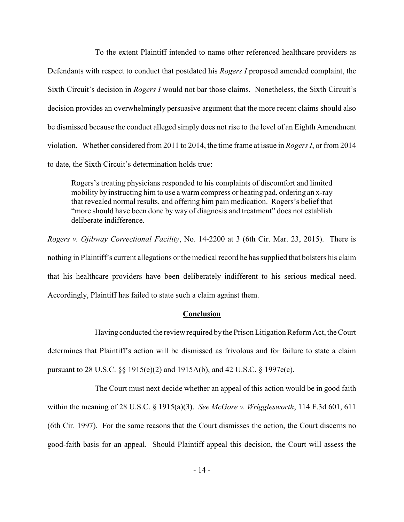To the extent Plaintiff intended to name other referenced healthcare providers as Defendants with respect to conduct that postdated his *Rogers I* proposed amended complaint, the Sixth Circuit's decision in *Rogers I* would not bar those claims. Nonetheless, the Sixth Circuit's decision provides an overwhelmingly persuasive argument that the more recent claims should also be dismissed because the conduct alleged simply does not rise to the level of an Eighth Amendment violation. Whether considered from 2011 to 2014, the time frame at issue in *Rogers I*, or from 2014 to date, the Sixth Circuit's determination holds true:

Rogers's treating physicians responded to his complaints of discomfort and limited mobility by instructing him to use a warm compress or heating pad, ordering an x-ray that revealed normal results, and offering him pain medication. Rogers's belief that "more should have been done by way of diagnosis and treatment" does not establish deliberate indifference.

*Rogers v. Ojibway Correctional Facility*, No. 14-2200 at 3 (6th Cir. Mar. 23, 2015). There is nothing in Plaintiff's current allegations or the medical record he has supplied that bolsters his claim that his healthcare providers have been deliberately indifferent to his serious medical need. Accordingly, Plaintiff has failed to state such a claim against them.

## **Conclusion**

Having conducted the review required bythe Prison Litigation Reform Act, the Court determines that Plaintiff's action will be dismissed as frivolous and for failure to state a claim pursuant to 28 U.S.C. §§ 1915(e)(2) and 1915A(b), and 42 U.S.C. § 1997e(c).

The Court must next decide whether an appeal of this action would be in good faith within the meaning of 28 U.S.C. § 1915(a)(3). *See McGore v. Wrigglesworth*, 114 F.3d 601, 611 (6th Cir. 1997). For the same reasons that the Court dismisses the action, the Court discerns no good-faith basis for an appeal. Should Plaintiff appeal this decision, the Court will assess the